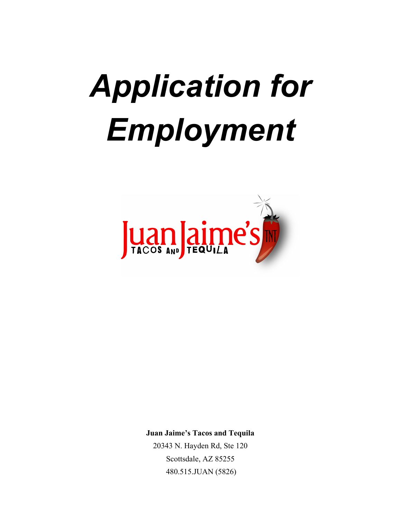# *Application for Employment*



**Juan Jaime's Tacos and Tequila** 

20343 N. Hayden Rd, Ste 120 Scottsdale, AZ 85255 480.515.JUAN (5826)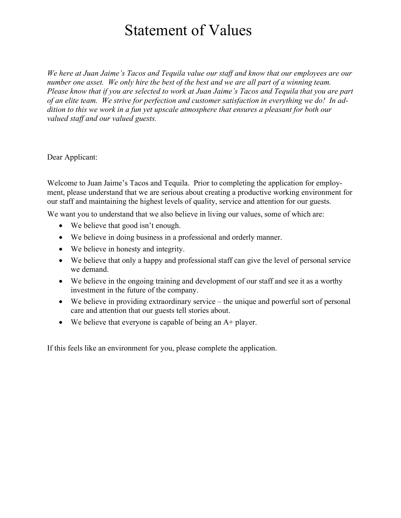## Statement of Values

*We here at Juan Jaime's Tacos and Tequila value our staff and know that our employees are our number one asset. We only hire the best of the best and we are all part of a winning team. Please know that if you are selected to work at Juan Jaime's Tacos and Tequila that you are part of an elite team. We strive for perfection and customer satisfaction in everything we do! In addition to this we work in a fun yet upscale atmosphere that ensures a pleasant for both our valued staff and our valued guests.* 

Dear Applicant:

Welcome to Juan Jaime's Tacos and Tequila. Prior to completing the application for employment, please understand that we are serious about creating a productive working environment for our staff and maintaining the highest levels of quality, service and attention for our guests.

We want you to understand that we also believe in living our values, some of which are:

- We believe that good isn't enough.
- We believe in doing business in a professional and orderly manner.
- We believe in honesty and integrity.
- We believe that only a happy and professional staff can give the level of personal service we demand.
- We believe in the ongoing training and development of our staff and see it as a worthy investment in the future of the company.
- We believe in providing extraordinary service the unique and powerful sort of personal care and attention that our guests tell stories about.
- We believe that everyone is capable of being an A+ player.

If this feels like an environment for you, please complete the application.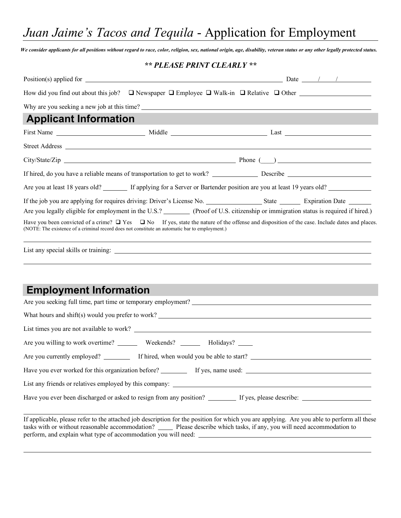*Juan Jaime's Tacos and Tequila* - Application for Employment

*We consider applicants for all positions without regard to race, color, religion, sex, national origin, age, disability, veteran status or any other legally protected status.*

## *\*\* PLEASE PRINT CLEARLY \*\**

| How did you find out about this job? $\Box$ Newspaper $\Box$ Employee $\Box$ Walk-in $\Box$ Relative $\Box$ Other                                                                                                              |                                                                                                                                                         |
|--------------------------------------------------------------------------------------------------------------------------------------------------------------------------------------------------------------------------------|---------------------------------------------------------------------------------------------------------------------------------------------------------|
| Why are you seeking a new job at this time?                                                                                                                                                                                    |                                                                                                                                                         |
| <b>Applicant Information</b>                                                                                                                                                                                                   |                                                                                                                                                         |
|                                                                                                                                                                                                                                |                                                                                                                                                         |
|                                                                                                                                                                                                                                |                                                                                                                                                         |
|                                                                                                                                                                                                                                |                                                                                                                                                         |
|                                                                                                                                                                                                                                |                                                                                                                                                         |
| Are you at least 18 years old? If applying for a Server or Bartender position are you at least 19 years old? Il enter the server of Bartender position are you at least 19 years old?                                          |                                                                                                                                                         |
| Are you legally eligible for employment in the U.S.? (Proof of U.S. citizenship or immigration status is required if hired.)<br>(NOTE: The existence of a criminal record does not constitute an automatic bar to employment.) | Have you been convicted of a crime? $\Box$ Yes $\Box$ No If yes, state the nature of the offense and disposition of the case. Include dates and places. |
|                                                                                                                                                                                                                                |                                                                                                                                                         |
| <b>Employment Information</b>                                                                                                                                                                                                  |                                                                                                                                                         |
|                                                                                                                                                                                                                                |                                                                                                                                                         |
|                                                                                                                                                                                                                                |                                                                                                                                                         |
|                                                                                                                                                                                                                                |                                                                                                                                                         |
| Are you willing to work overtime? __________ Weekends? __________ Holidays? _____                                                                                                                                              |                                                                                                                                                         |
| Are you currently employed? If hired, when would you be able to start?                                                                                                                                                         |                                                                                                                                                         |
|                                                                                                                                                                                                                                |                                                                                                                                                         |
|                                                                                                                                                                                                                                |                                                                                                                                                         |
|                                                                                                                                                                                                                                |                                                                                                                                                         |
| tasks with or without reasonable accommodation? _____ Please describe which tasks, if any, you will need accommodation to                                                                                                      | If applicable, please refer to the attached job description for the position for which you are applying. Are you able to perform all these              |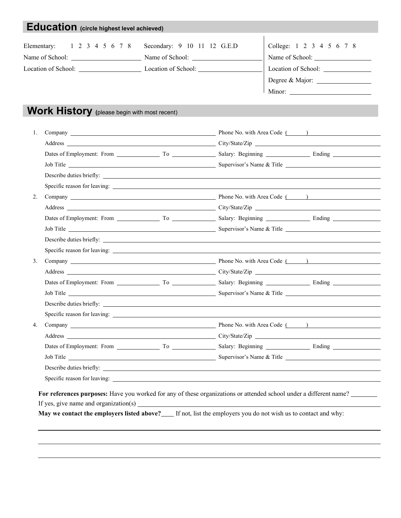| 1 2 3 4 5 6 7 8<br>Elementary:                              | Secondary: 9 10 11 12 G.E.D |                                      | College: 1 2 3 4 5 6 7 8                                 |
|-------------------------------------------------------------|-----------------------------|--------------------------------------|----------------------------------------------------------|
| Name of School: Name of School: Name of School:             |                             |                                      | Name of School:                                          |
| Location of School: Location of School: Location of School: |                             |                                      |                                                          |
|                                                             |                             |                                      | Degree & Major:                                          |
|                                                             |                             |                                      | Minor: $\qquad \qquad$                                   |
|                                                             |                             |                                      |                                                          |
| Work History (please begin with most recent)                |                             |                                      |                                                          |
| 1.                                                          |                             |                                      | Company Company Phone No. with Area Code ( )             |
|                                                             |                             |                                      |                                                          |
|                                                             |                             |                                      |                                                          |
|                                                             |                             |                                      |                                                          |
|                                                             |                             |                                      |                                                          |
|                                                             |                             |                                      |                                                          |
| 2.                                                          |                             | Company Phone No. with Area Code ( ) |                                                          |
|                                                             |                             |                                      |                                                          |
|                                                             |                             |                                      |                                                          |
|                                                             |                             |                                      |                                                          |
|                                                             |                             |                                      |                                                          |
|                                                             |                             |                                      |                                                          |
| 3.                                                          |                             |                                      | Company <b>Example 2018</b> Phone No. with Area Code ( ) |
|                                                             |                             |                                      |                                                          |
|                                                             |                             |                                      |                                                          |
|                                                             |                             |                                      |                                                          |
|                                                             |                             |                                      |                                                          |
|                                                             |                             |                                      |                                                          |
| 4.                                                          |                             |                                      | Company Company Phone No. with Area Code ( )             |
|                                                             |                             |                                      |                                                          |
|                                                             |                             |                                      |                                                          |
|                                                             |                             |                                      |                                                          |
|                                                             |                             |                                      |                                                          |
|                                                             |                             |                                      |                                                          |